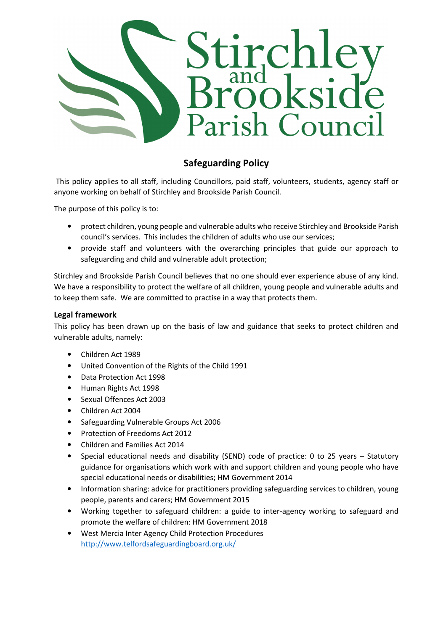

## Safeguarding Policy

 This policy applies to all staff, including Councillors, paid staff, volunteers, students, agency staff or anyone working on behalf of Stirchley and Brookside Parish Council.

The purpose of this policy is to:

- protect children, young people and vulnerable adults who receive Stirchley and Brookside Parish council's services. This includes the children of adults who use our services;
- provide staff and volunteers with the overarching principles that guide our approach to safeguarding and child and vulnerable adult protection;

Stirchley and Brookside Parish Council believes that no one should ever experience abuse of any kind. We have a responsibility to protect the welfare of all children, young people and vulnerable adults and to keep them safe. We are committed to practise in a way that protects them.

## Legal framework

This policy has been drawn up on the basis of law and guidance that seeks to protect children and vulnerable adults, namely:

- Children Act 1989
- United Convention of the Rights of the Child 1991
- Data Protection Act 1998
- Human Rights Act 1998
- Sexual Offences Act 2003
- Children Act 2004
- Safeguarding Vulnerable Groups Act 2006
- Protection of Freedoms Act 2012
- Children and Families Act 2014
- Special educational needs and disability (SEND) code of practice: 0 to 25 years Statutory guidance for organisations which work with and support children and young people who have special educational needs or disabilities; HM Government 2014
- Information sharing: advice for practitioners providing safeguarding services to children, young people, parents and carers; HM Government 2015
- Working together to safeguard children: a guide to inter-agency working to safeguard and promote the welfare of children: HM Government 2018
- West Mercia Inter Agency Child Protection Procedures http://www.telfordsafeguardingboard.org.uk/